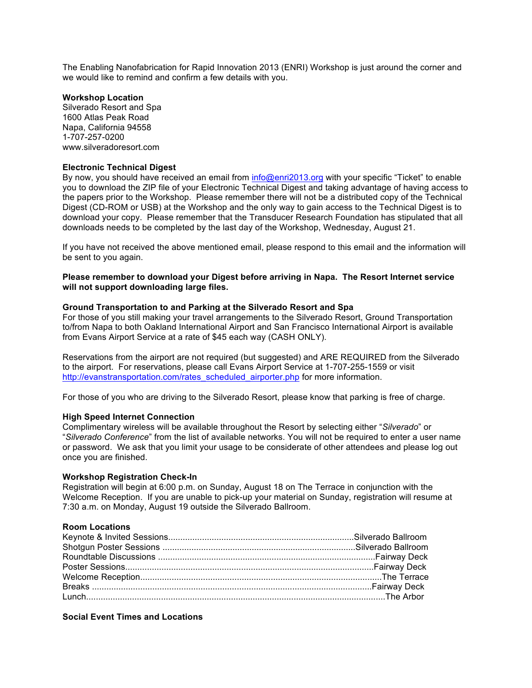The Enabling Nanofabrication for Rapid Innovation 2013 (ENRI) Workshop is just around the corner and we would like to remind and confirm a few details with you.

# **Workshop Location**

Silverado Resort and Spa 1600 Atlas Peak Road Napa, California 94558 1-707-257-0200 www.silveradoresort.com

# **Electronic Technical Digest**

By now, you should have received an email from info@enri2013.org with your specific "Ticket" to enable you to download the ZIP file of your Electronic Technical Digest and taking advantage of having access to the papers prior to the Workshop. Please remember there will not be a distributed copy of the Technical Digest (CD-ROM or USB) at the Workshop and the only way to gain access to the Technical Digest is to download your copy. Please remember that the Transducer Research Foundation has stipulated that all downloads needs to be completed by the last day of the Workshop, Wednesday, August 21.

If you have not received the above mentioned email, please respond to this email and the information will be sent to you again.

**Please remember to download your Digest before arriving in Napa. The Resort Internet service will not support downloading large files.**

# **Ground Transportation to and Parking at the Silverado Resort and Spa**

For those of you still making your travel arrangements to the Silverado Resort, Ground Transportation to/from Napa to both Oakland International Airport and San Francisco International Airport is available from Evans Airport Service at a rate of \$45 each way (CASH ONLY).

Reservations from the airport are not required (but suggested) and ARE REQUIRED from the Silverado to the airport. For reservations, please call Evans Airport Service at 1-707-255-1559 or visit http://evanstransportation.com/rates\_scheduled\_airporter.php for more information.

For those of you who are driving to the Silverado Resort, please know that parking is free of charge.

# **High Speed Internet Connection**

Complimentary wireless will be available throughout the Resort by selecting either "*Silverado*" or "*Silverado Conference*" from the list of available networks. You will not be required to enter a user name or password. We ask that you limit your usage to be considerate of other attendees and please log out once you are finished.

#### **Workshop Registration Check-In**

Registration will begin at 6:00 p.m. on Sunday, August 18 on The Terrace in conjunction with the Welcome Reception. If you are unable to pick-up your material on Sunday, registration will resume at 7:30 a.m. on Monday, August 19 outside the Silverado Ballroom.

#### **Room Locations**

## **Social Event Times and Locations**